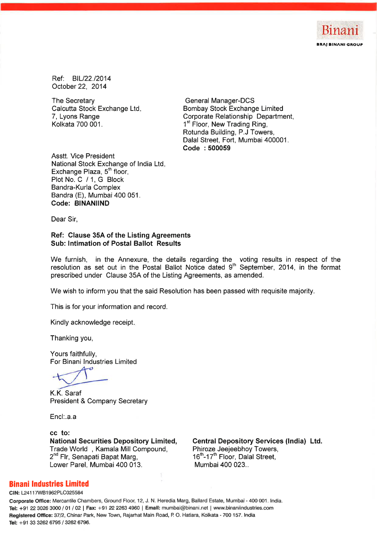

Ref: BIL/22./2014 October 22, 2014

The Secretary Calcutta Stock Exchange Ltd. 7, Lyons Range Kolkata 700 001.

**General Manager-DCS Bombay Stock Exchange Limited** Corporate Relationship Department, 1<sup>st</sup> Floor, New Trading Ring, Rotunda Building, P.J Towers, Dalal Street, Fort, Mumbai 400001. Code: 500059

**Asstt. Vice President** National Stock Exchange of India Ltd. Exchange Plaza, 5<sup>th</sup> floor, Plot No. C / 1, G Block Bandra-Kurla Complex Bandra (E), Mumbai 400 051. Code: BINANIIND

Dear Sir.

Ref: Clause 35A of the Listing Agreements **Sub: Intimation of Postal Ballot Results** 

We furnish, in the Annexure, the details regarding the voting results in respect of the resolution as set out in the Postal Ballot Notice dated  $9<sup>th</sup>$  September, 2014, in the format prescribed under Clause 35A of the Listing Agreements, as amended.

We wish to inform you that the said Resolution has been passed with requisite majority.

This is for your information and record.

Kindly acknowledge receipt.

Thanking you,

Yours faithfully, For Binani Industries Limited

æ

K.K. Saraf **President & Company Secretary** 

Encl:.a.a

cc to: **National Securities Depository Limited,** Trade World, Kamala Mill Compound, 2<sup>nd</sup> Flr, Senapati Bapat Marg, Lower Parel, Mumbai 400 013.

**Central Depository Services (India) Ltd.** Phiroze Jeejeebhoy Towers, 16th-17th Floor, Dalal Street. Mumbai 400 023..

## **Binani Industries Limited**

CIN: L24117WB1962PLC025584

Corporate Office: Mercantile Chambers, Ground Floor, 12, J. N. Heredia Marg, Ballard Estate, Mumbai - 400 001. India. Tel: +91 22 3026 3000 / 01 / 02 | Fax: +91 22 2263 4960 | Email: mumbai@binani.net | www.binaniindustries.com Registered Office: 37/2, Chinar Park, New Town, Rajarhat Main Road, P. O. Hatiara, Kolkata - 700 157. India Tel: +91 33 3262 6795 / 3262 6796.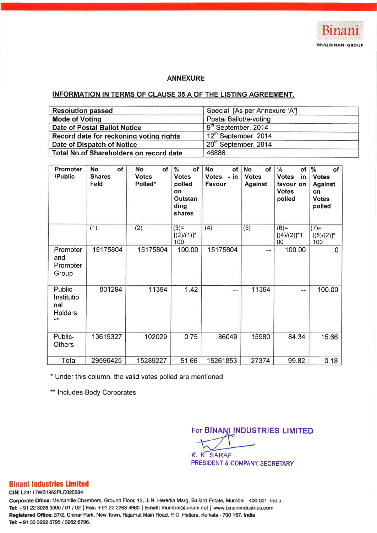

### **ANNEXURE**

# INFORMATION IN TERMS OF CLAUSE 35 A OF THE LISTING AGREEMENT.

| <b>Resolution passed</b>                       | Special [As per Annexure 'A']    |
|------------------------------------------------|----------------------------------|
| <b>Mode of Voting</b>                          | Postal Ballot/e-voting           |
| Date of Postal Ballot Notice                   | 9 <sup>th</sup> September, 2014  |
| Record date for reckoning voting rights        | 12 <sup>th</sup> September, 2014 |
| Date of Dispatch of Notice                     | 20th September, 2014             |
| <b>Total No.of Shareholders on record date</b> | 46886                            |

| Promoter<br>/Public                                    | of<br><b>No</b><br><b>Shares</b><br>held | of<br><b>No</b><br><b>Votes</b><br>Polled* | $\%$<br>of<br><b>Votes</b><br>polled<br>on<br>Outstan<br>ding<br>shares | <b>No</b><br>of<br>Votes - in<br>Favour | of<br><b>No</b><br><b>Votes</b><br><b>Against</b> | %<br>of<br><b>Votes</b><br>in<br>favour on<br><b>Votes</b><br>polled | %<br>of<br><b>Votes</b><br><b>Against</b><br>on<br><b>Votes</b><br>polled |
|--------------------------------------------------------|------------------------------------------|--------------------------------------------|-------------------------------------------------------------------------|-----------------------------------------|---------------------------------------------------|----------------------------------------------------------------------|---------------------------------------------------------------------------|
|                                                        | (1)                                      | (2)                                        | $(3)=$<br>$[(2) / (1)]^*$<br>100                                        | (4)                                     | (5)                                               | $(6)=$<br>$[(4)/(2)]^{*}1$<br>00                                     | $(7)$ =<br>$[(5)/(2)]^*$<br>100                                           |
| Promoter<br>and<br>Promoter<br>Group                   | 15175804                                 | 15175804                                   | 100.00                                                                  | 15175804                                | --                                                | 100.00                                                               | 0                                                                         |
| Public<br>Institutio<br>nal<br><b>Holders</b><br>$***$ | 801294                                   | 11394                                      | 1.42                                                                    | $\blacksquare$                          | 11394                                             | --                                                                   | 100.00                                                                    |
| Public-<br><b>Others</b>                               | 13619327                                 | 102029                                     | 0.75                                                                    | 86049                                   | 15980                                             | 84.34                                                                | 15.66                                                                     |
| Total                                                  | 29596425                                 | 15289227                                   | 51.66                                                                   | 15261853                                | 27374                                             | 99.82                                                                | 0.18                                                                      |

\* Under this column, the valid votes polled are mentioned

\*\* Includes Body Corporates

For BINANI INDUSTRIES LIMITED K. K. SARAF

PRESIDENT & COMPANY SECRETARY

# **Binani Industries Limited**

CIN: L24117WB1962PLC025584

Corporate Office: Mercantile Chambers, Ground Floor, 12, J. N. Heredia Marg, Ballard Estate, Mumbai - 400 001. India. Tel: +91 22 3026 3000 / 01 / 02 | Fax: +91 22 2263 4960 | Email: mumbai@binani.net | www.binaniindustries.com Registered Office: 37/2, Chinar Park, New Town, Rajarhat Main Road, P. O. Hatiara, Kolkata - 700 157. India Tel: +91 33 3262 6795 / 3262 6796.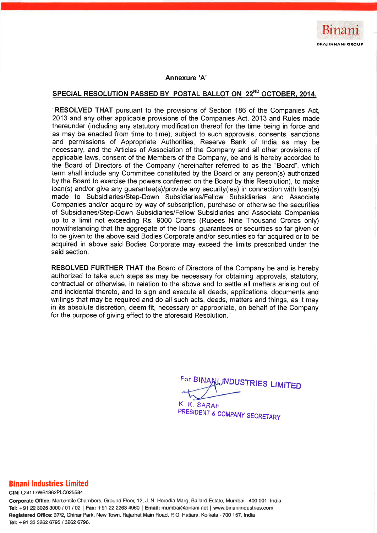

#### Annexure 'A'

# SPECIAL RESOLUTION PASSED BY POSTAL BALLOT ON 22<sup>ND</sup> OCTOBER, 2014.

"RESOLVED THAT pursuant to the provisions of Section 186 of the Companies Act. 2013 and any other applicable provisions of the Companies Act, 2013 and Rules made thereunder (including any statutory modification thereof for the time being in force and as may be enacted from time to time), subject to such approvals, consents, sanctions and permissions of Appropriate Authorities. Reserve Bank of India as may be necessary, and the Articles of Association of the Company and all other provisions of applicable laws, consent of the Members of the Company, be and is hereby accorded to the Board of Directors of the Company (hereinafter referred to as the "Board", which term shall include any Committee constituted by the Board or any person(s) authorized by the Board to exercise the powers conferred on the Board by this Resolution), to make loan(s) and/or give any guarantee(s)/provide any security(ies) in connection with loan(s) made to Subsidiaries/Step-Down Subsidiaries/Fellow Subsidiaries and Associate Companies and/or acquire by way of subscription, purchase or otherwise the securities of Subsidiaries/Step-Down Subsidiaries/Fellow Subsidiaries and Associate Companies up to a limit not exceeding Rs. 9000 Crores (Rupees Nine Thousand Crores only) notwithstanding that the aggregate of the loans, guarantees or securities so far given or to be given to the above said Bodies Corporate and/or securities so far acquired or to be acquired in above said Bodies Corporate may exceed the limits prescribed under the said section.

**RESOLVED FURTHER THAT** the Board of Directors of the Company be and is hereby authorized to take such steps as may be necessary for obtaining approvals, statutory, contractual or otherwise, in relation to the above and to settle all matters arising out of and incidental thereto, and to sign and execute all deeds, applications, documents and writings that may be required and do all such acts, deeds, matters and things, as it may in its absolute discretion, deem fit, necessary or appropriate, on behalf of the Company for the purpose of giving effect to the aforesaid Resolution."

For BINANLINDUSTRIES LIMITED

K. K. SARAF PRESIDENT & COMPANY SECRETARY

## **Binani Industries Limited**

CIN: L24117WB1962PLC025584

Corporate Office: Mercantile Chambers, Ground Floor, 12, J. N. Heredia Marg, Ballard Estate, Mumbai - 400 001. India. Tel: +91 22 3026 3000 / 01 / 02 | Fax: +91 22 2263 4960 | Email: mumbai@binani.net | www.binaniindustries.com Registered Office: 37/2, Chinar Park, New Town, Rajarhat Main Road, P. O. Hatiara, Kolkata - 700 157. India Tel: +91 33 3262 6795 / 3262 6796.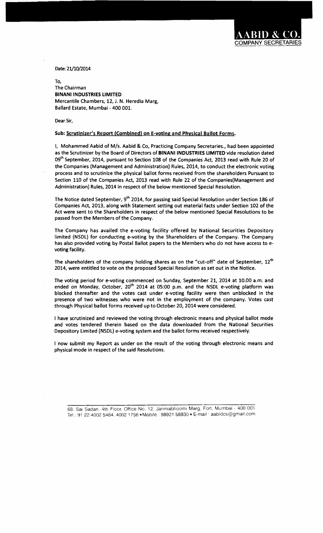**DMPANY SECRETARIE** 

Date: 21/10/2014

To, The Chairman BINANIINDUSTRIES LIMITED Mercantile Chambers, 12, J. N. Heredia Marg, Ballard Estate, Mumbai - 400 001.

Dear Sir,

#### Sub: Scrutinizer's Report (Combined) on E-voting and Physical Ballot Forms.

I, Mohammed Aabid of M/s. Aabid & Co, Practicing Company Secretaries., had been appointed as the Scrutinizer by the Board of Directors of BINANI INDUSTRIES LIMITED vide resolution dated 09<sup>th</sup> September, 2014, pursuant to Section 108 of the Companies Act, 2013 read with Rule 20 of the Companies (Management and Administration) Rules, 2014, to conduct the electronic voting process and to scrutinize the physical ballot forms received from the shareholders Pursuant to Section 110 of the Companies Act, 2013 read with Rule 22 of the Companies(Management and Administration) Rules, 2014 in respect of the below mentioned Special Resolution.

The Notice dated September, 9<sup>th</sup> 2014, for passing said Special Resolution under Section 186 of Companies Act, 2013, along with Statement setting out material facts under Section 102 of the Act were sent to the Shareholders in respect of the below mentioned Special Resolutions to be passed from the Members of the Company.

The Company has availed the e-voting facility offered by National Securities Depository limited (NSDL) for conducting e-voting by the Shareholders of the Company. The Company has also provided voting by Postal Ballot papers to the Members who do not have access to evoting facility.

The shareholders of the company holding shares as on the "cut-off" date of September, 12<sup>th</sup> 2014, were entitled to vote on the proposed Special Resolution as set out in the Notice.

The voting period for e-voting commenced on Sunday, September 21, 2014 at 10.00 a.m. and ended on Monday, October, 20<sup>th</sup> 2014 at 05:00 p.m. and the NSDL e-voting platform was blocked thereafter and the votes cast under e-voting facility were then unblocked in the presence of two witnesses who were not in the employment of the company. Votes cast through Physical ballot forms received up to October 20, 2014 were considered.

I have scrutinized and reviewed the voting through electronic means and physical ballot mode and votes tendered therein based on the data downloaded from the National Securities Depository Limited (NSDL) e-voting system and the ballot forms received respectively.

I now submit my Report as under on the result of the voting through electronic means and physical mode in respect of the said Resolutions.

68, Sal Sadan, 4th Floor. Office No. 12, Janmabhooml Marg, Fort, Mumbal - 400 001 Tel.: 91 22 4002 5464, 4002 1756 - Mobile : 98921 58830 - E-mail : aabidcs@gmail.com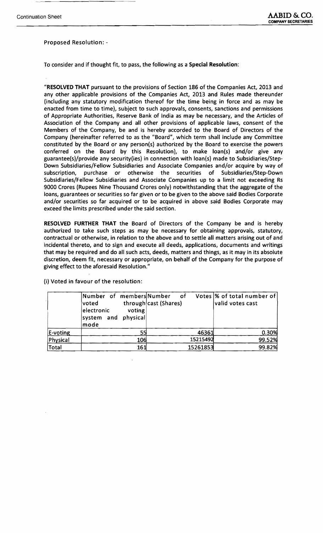### Proposed Resolution:

-.-~..----------~

To consider and if thought fit, to pass, the following as a Special Resolution:

"RESOLVED THAT pursuant to the provisions of Section 186 of the Companies Act, 2013 and any other applicable provisions of the Companies Act, 2013 and Rules made thereunder (including any statutory modification thereof for the time being in force and as may be enacted from time to time), subject to such approvals, consents, sanctions and permissions of Appropriate Authorities, Reserve Bank of India as may be necessary, and the Articles of Association of the Company and all other provisions of applicable laws, consent of the Members of the Company, be and is hereby accorded to the Board of Directors of the Company (hereinafter referred to as the "Board", which term shall include any Committee constituted by the Board or any person(s) authorized by the Board to exercise the powers conferred on the Board by this Resolution), to make loan(s) and/or give any guarantee(s)/provide any security(ies} in connection with loan(s) made to Subsidiaries/Step-Down Subsidiaries/Fellow Subsidiaries and Associate Companies and/or acquire by way of subscription, purchase or otherwise the securities of Subsidiaries/Step-Down Subsidiaries/Fellow Subsidiaries and Associate Companies up to a limit not exceeding Rs 9000 Crores (Rupees Nine Thousand Crores only) notwithstanding that the aggregate of the loans, guarantees or securities so far given or to be given to the above said Bodies Corporate and/or securities so far acquired or to be acquired in above said Bodies Corporate may exceed the limits prescribed under the said section.

RESOLVED FURTHER THAT the Board of Directors of the Company be and is hereby authorized to take such steps as may be necessary for obtaining approvals, statutory, contractual or otherwise, in relation to the above and to settle all matters arising out of and incidental thereto, and to sign and execute all deeds, applications, documents and writings that may be required and do all such acts, deeds, matters and things, as it may in its absolute discretion, deem fit, necessary or appropriate, on behalf of the Company for the purpose of giving effect to the aforesaid Resolution."

(i) Voted in favour of the resolution:

|          | Number of membersNumber<br><b>lvoted</b><br>electronic<br>voting<br>system and physical<br>mode | of of<br>through cast (Shares) | Votes  % of total number of<br>valid votes cast |
|----------|-------------------------------------------------------------------------------------------------|--------------------------------|-------------------------------------------------|
| E-voting |                                                                                                 | 46361                          | 0.30%                                           |
| Physical | 106                                                                                             | 15215492                       | 99.52%                                          |
| Total    | 161                                                                                             | 15261853                       | 99.82%                                          |